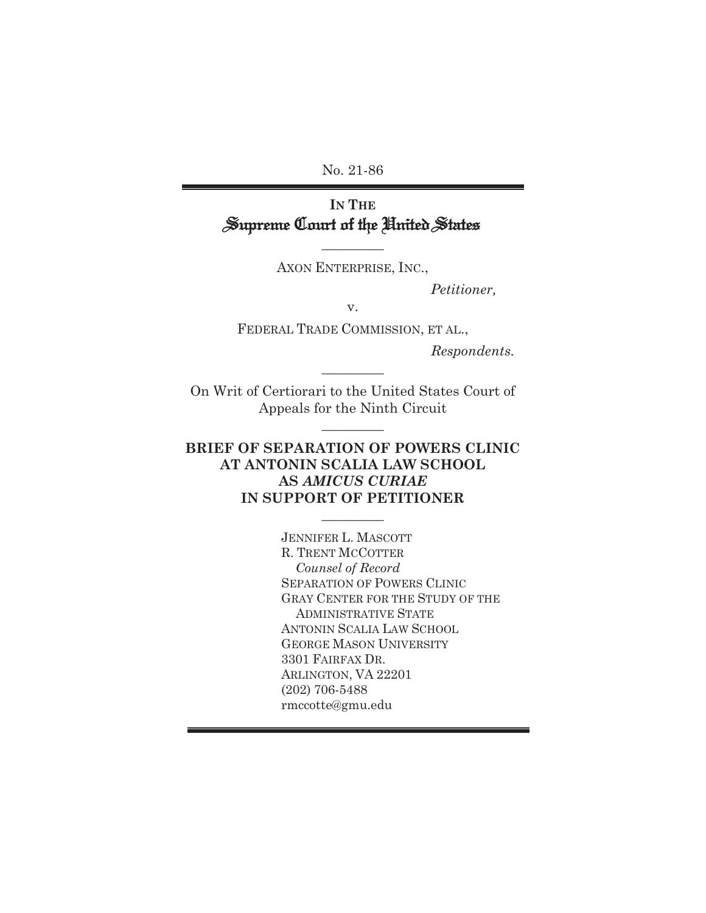No. 21-86

# **IN THE** Supreme Court of the United States

AXON ENTERPRISE, INC.,

 $\frac{1}{2}$ 

*Petitioner,* 

v.

FEDERAL TRADE COMMISSION, ET AL.,

*Respondents.*

On Writ of Certiorari to the United States Court of Appeals for the Ninth Circuit

 $\overline{\phantom{a}}$  . The set of  $\overline{\phantom{a}}$ 

 $\frac{1}{2}$ 

## **BRIEF OF SEPARATION OF POWERS CLINIC AT ANTONIN SCALIA LAW SCHOOL AS** *AMICUS CURIAE*  **IN SUPPORT OF PETITIONER**

 $\frac{1}{2}$ 

JENNIFER L. MASCOTT R. TRENT MCCOTTER  *Counsel of Record*  SEPARATION OF POWERS CLINIC GRAY CENTER FOR THE STUDY OF THE ADMINISTRATIVE STATE ANTONIN SCALIA LAW SCHOOL GEORGE MASON UNIVERSITY 3301 FAIRFAX DR. ARLINGTON, VA 22201 (202) 706-5488 rmccotte@gmu.edu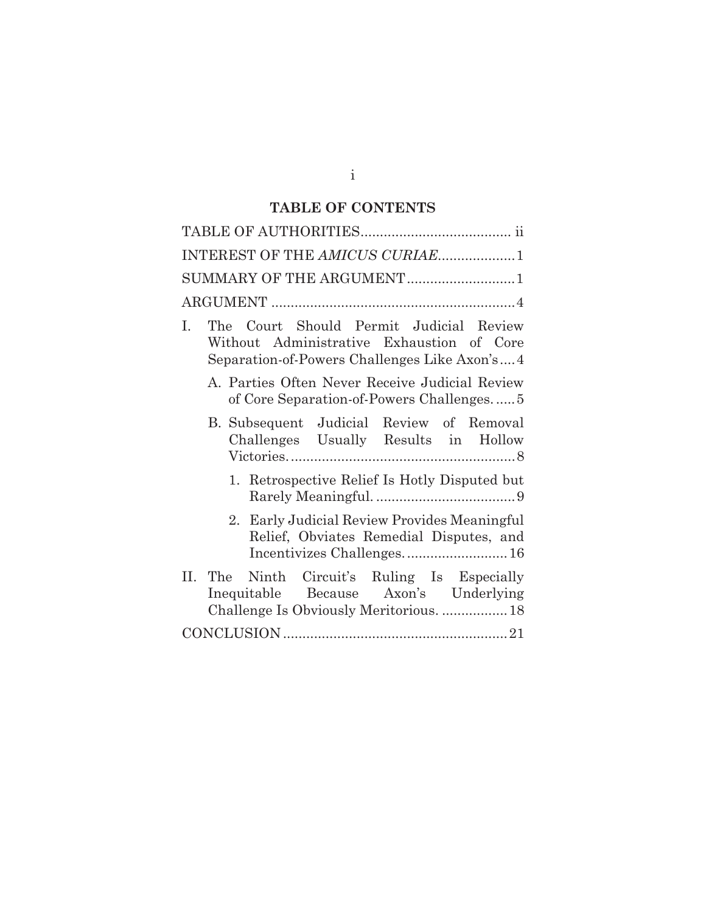# **TABLE OF CONTENTS**

| INTEREST OF THE AMICUS CURIAE1                                                                                                                |
|-----------------------------------------------------------------------------------------------------------------------------------------------|
| SUMMARY OF THE ARGUMENT1                                                                                                                      |
|                                                                                                                                               |
| Court Should Permit Judicial Review<br>The<br>L.<br>Without Administrative Exhaustion of Core<br>Separation-of-Powers Challenges Like Axon's4 |
| A. Parties Often Never Receive Judicial Review<br>of Core Separation-of-Powers Challenges5                                                    |
| B. Subsequent Judicial Review of Removal<br>Challenges Usually Results in Hollow                                                              |
| 1. Retrospective Relief Is Hotly Disputed but                                                                                                 |
| Early Judicial Review Provides Meaningful<br>$2_{-}$<br>Relief, Obviates Remedial Disputes, and                                               |
| II. The Ninth Circuit's Ruling Is Especially<br>Inequitable Because Axon's Underlying<br>Challenge Is Obviously Meritorious.  18              |
|                                                                                                                                               |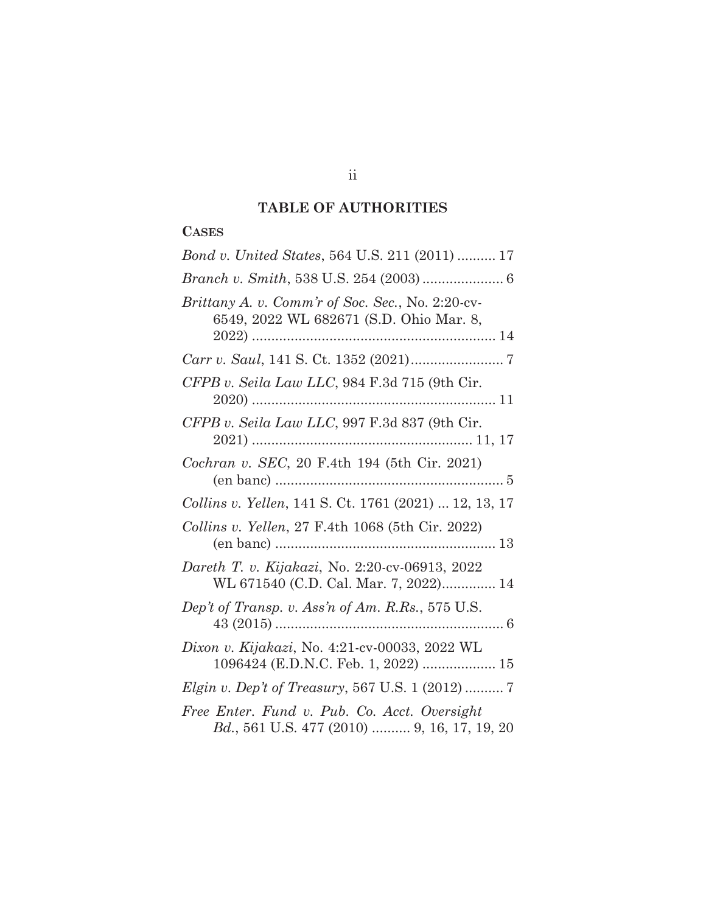# **TABLE OF AUTHORITIES**

## **CASES**

| Bond v. United States, 564 U.S. 211 (2011)  17                                                      |
|-----------------------------------------------------------------------------------------------------|
|                                                                                                     |
| Brittany A. v. Comm'r of Soc. Sec., No. 2:20-cv-<br>6549, 2022 WL 682671 (S.D. Ohio Mar. 8,         |
|                                                                                                     |
| CFPB v. Seila Law LLC, 984 F.3d 715 (9th Cir.                                                       |
| CFPB v. Seila Law LLC, 997 F.3d 837 (9th Cir.                                                       |
| Cochran v. SEC, 20 F.4th 194 (5th Cir. 2021)                                                        |
| <i>Collins v. Yellen,</i> 141 S. Ct. 1761 (2021)  12, 13, 17                                        |
| Collins v. Yellen, 27 F.4th 1068 (5th Cir. 2022)                                                    |
| Dareth T. v. Kijakazi, No. 2:20-cv-06913, 2022<br>WL 671540 (C.D. Cal. Mar. 7, 2022) 14             |
| Dep't of Transp. v. Ass'n of Am. R.Rs., 575 U.S.                                                    |
| Dixon v. Kijakazi, No. 4:21-cv-00033, 2022 WL<br>1096424 (E.D.N.C. Feb. 1, 2022)  15                |
| <i>Elgin v. Dep't of Treasury</i> , 567 U.S. 1 (2012)  7                                            |
| Free Enter. Fund v. Pub. Co. Acct. Oversight<br><i>Bd.</i> , 561 U.S. 477 (2010)  9, 16, 17, 19, 20 |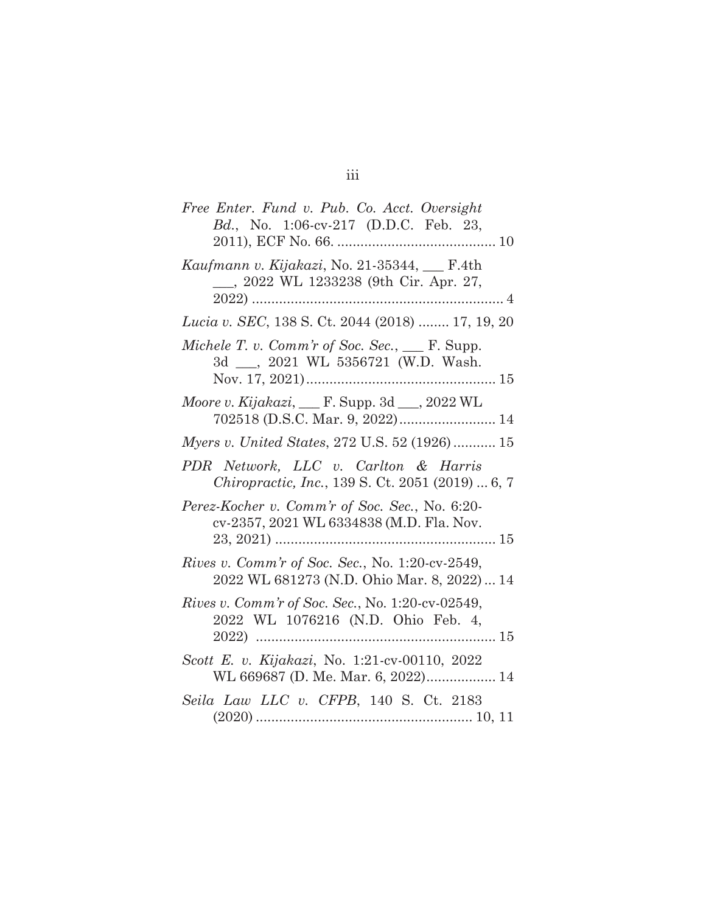| Free Enter. Fund v. Pub. Co. Acct. Oversight<br>Bd., No. 1:06-cv-217 (D.D.C. Feb. 23,                  |
|--------------------------------------------------------------------------------------------------------|
| Kaufmann v. Kijakazi, No. 21-35344, __ F.4th<br>__, 2022 WL 1233238 (9th Cir. Apr. 27,<br>4            |
| Lucia v. SEC, 138 S. Ct. 2044 (2018)  17, 19, 20                                                       |
| Michele T. v. Comm'r of Soc. Sec., $\_\_\$ F. Supp.<br>3d __, 2021 WL 5356721 (W.D. Wash.              |
| Moore v. Kijakazi, __ F. Supp. 3d __, 2022 WL<br>702518 (D.S.C. Mar. 9, 2022) 14                       |
| <i>Myers v. United States, 272 U.S. 52 (1926) 15</i>                                                   |
| PDR Network, LLC v. Carlton & Harris<br><i>Chiropractic, Inc., 139 S. Ct. 2051 (2019)  6, 7</i>        |
| Perez-Kocher v. Comm'r of Soc. Sec., No. 6:20-<br>cv-2357, 2021 WL 6334838 (M.D. Fla. Nov.             |
| <i>Rives v. Comm'r of Soc. Sec.</i> , No. 1:20-cv-2549,<br>2022 WL 681273 (N.D. Ohio Mar. 8, 2022)  14 |
| Rives v. Comm'r of Soc. Sec., No. 1:20-cv-02549,<br>2022 WL 1076216 (N.D. Ohio Feb. 4,                 |
| Scott E. v. Kijakazi, No. 1:21-cv-00110, 2022<br>WL 669687 (D. Me. Mar. 6, 2022) 14                    |
| Seila Law LLC v. CFPB, 140 S. Ct. 2183                                                                 |
|                                                                                                        |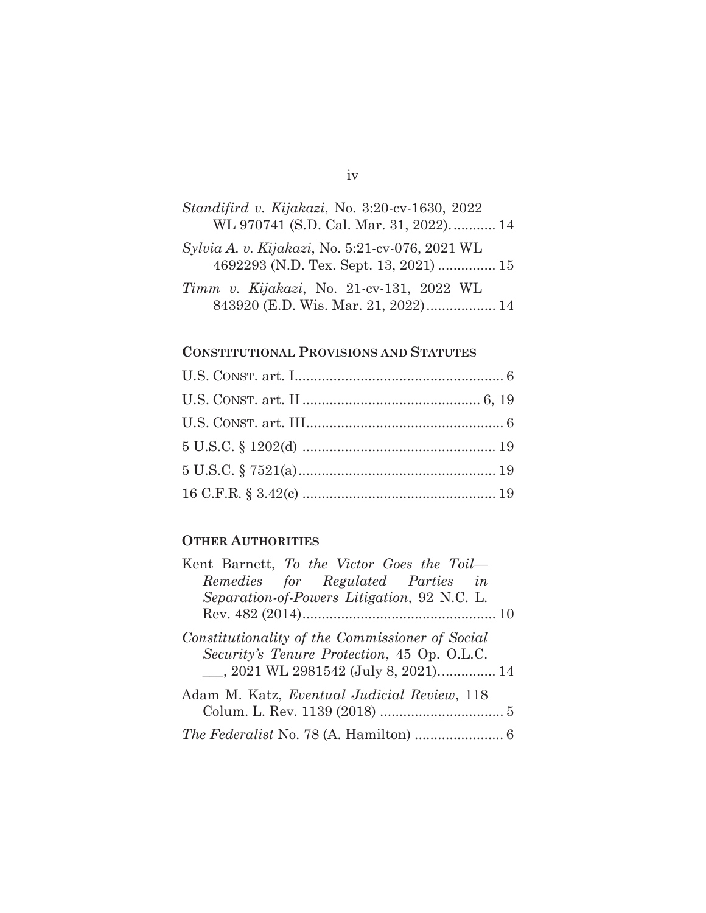# *Standifird v. Kijakazi*, No. 3:20-cv-1630, 2022 WL 970741 (S.D. Cal. Mar. 31, 2022). ........... 14 *Sylvia A. v. Kijakazi*, No. 5:21-cv-076, 2021 WL 4692293 (N.D. Tex. Sept. 13, 2021) ............... 15 *Timm v. Kijakazi*, No. 21-cv-131, 2022 WL 843920 (E.D. Wis. Mar. 21, 2022) .................. 14

#### **CONSTITUTIONAL PROVISIONS AND STATUTES**

### **OTHER AUTHORITIES**

| Kent Barnett, To the Victor Goes the Toil-                                                                                               |  |
|------------------------------------------------------------------------------------------------------------------------------------------|--|
| Remedies for Regulated Parties in                                                                                                        |  |
| Separation-of-Powers Litigation, 92 N.C. L.                                                                                              |  |
|                                                                                                                                          |  |
| Constitutionality of the Commissioner of Social<br>Security's Tenure Protection, 45 Op. O.L.C.<br>___, 2021 WL 2981542 (July 8, 2021) 14 |  |
| Adam M. Katz, Eventual Judicial Review, 118                                                                                              |  |
|                                                                                                                                          |  |

#### iv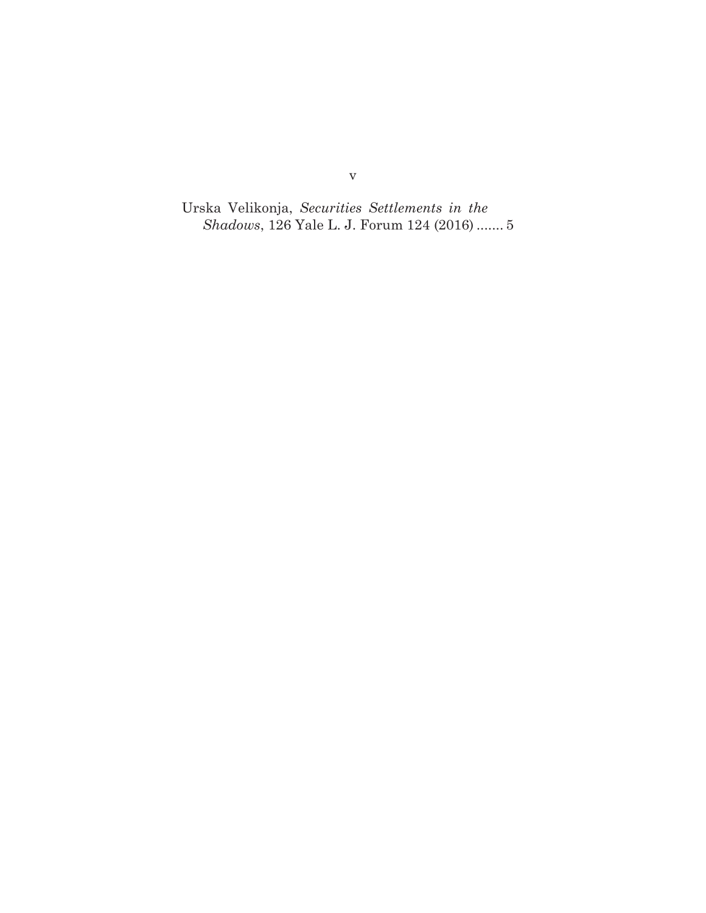Urska Velikonja, *Securities Settlements in the Shadows*, 126 Yale L. J. Forum 124 (2016) ....... 5

v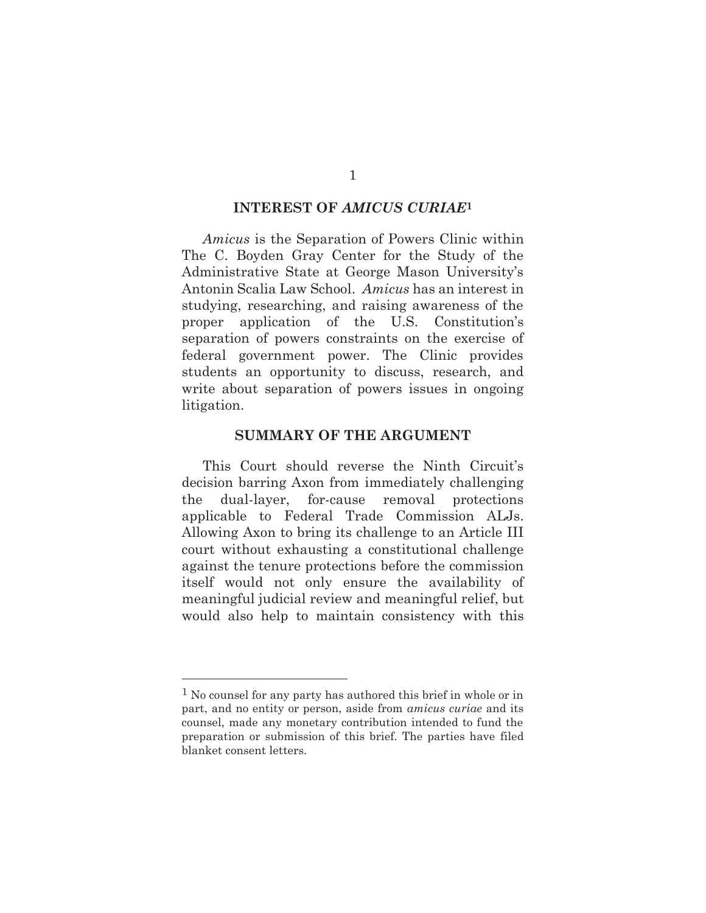#### **INTEREST OF** *AMICUS CURIAE***1**

*Amicus* is the Separation of Powers Clinic within The C. Boyden Gray Center for the Study of the Administrative State at George Mason University's Antonin Scalia Law School. *Amicus* has an interest in studying, researching, and raising awareness of the proper application of the U.S. Constitution's separation of powers constraints on the exercise of federal government power. The Clinic provides students an opportunity to discuss, research, and write about separation of powers issues in ongoing litigation.

#### **SUMMARY OF THE ARGUMENT**

This Court should reverse the Ninth Circuit's decision barring Axon from immediately challenging the dual-layer, for-cause removal protections applicable to Federal Trade Commission ALJs. Allowing Axon to bring its challenge to an Article III court without exhausting a constitutional challenge against the tenure protections before the commission itself would not only ensure the availability of meaningful judicial review and meaningful relief, but would also help to maintain consistency with this

<sup>1</sup> No counsel for any party has authored this brief in whole or in part, and no entity or person, aside from *amicus curiae* and its counsel, made any monetary contribution intended to fund the preparation or submission of this brief. The parties have filed blanket consent letters.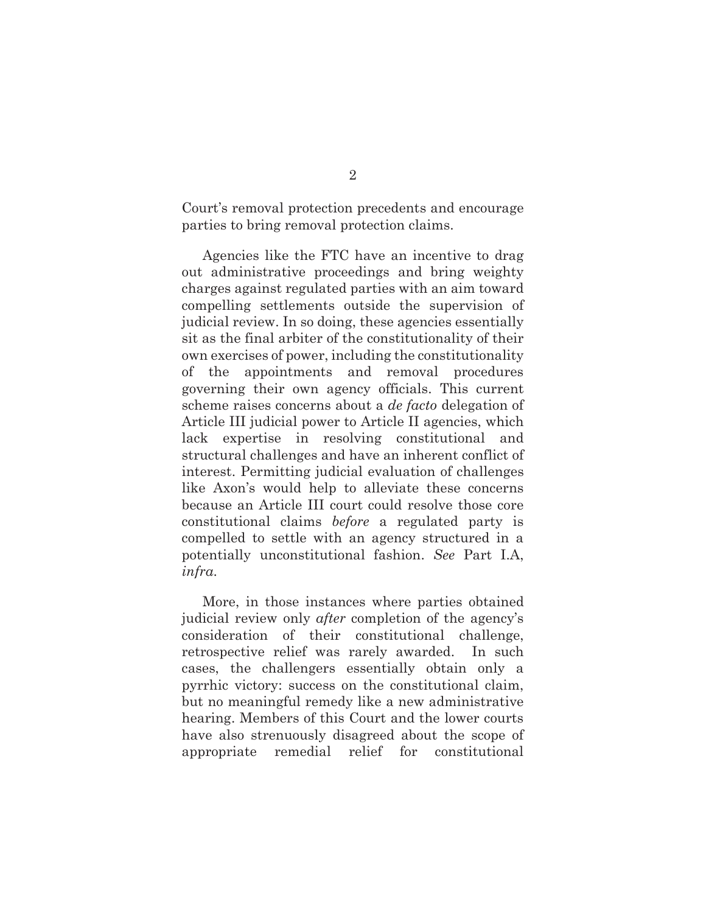Court's removal protection precedents and encourage parties to bring removal protection claims.

Agencies like the FTC have an incentive to drag out administrative proceedings and bring weighty charges against regulated parties with an aim toward compelling settlements outside the supervision of judicial review. In so doing, these agencies essentially sit as the final arbiter of the constitutionality of their own exercises of power, including the constitutionality of the appointments and removal procedures governing their own agency officials. This current scheme raises concerns about a *de facto* delegation of Article III judicial power to Article II agencies, which lack expertise in resolving constitutional and structural challenges and have an inherent conflict of interest. Permitting judicial evaluation of challenges like Axon's would help to alleviate these concerns because an Article III court could resolve those core constitutional claims *before* a regulated party is compelled to settle with an agency structured in a potentially unconstitutional fashion. *See* Part I.A, *infra*.

More, in those instances where parties obtained judicial review only *after* completion of the agency's consideration of their constitutional challenge, retrospective relief was rarely awarded. In such cases, the challengers essentially obtain only a pyrrhic victory: success on the constitutional claim, but no meaningful remedy like a new administrative hearing. Members of this Court and the lower courts have also strenuously disagreed about the scope of appropriate remedial relief for constitutional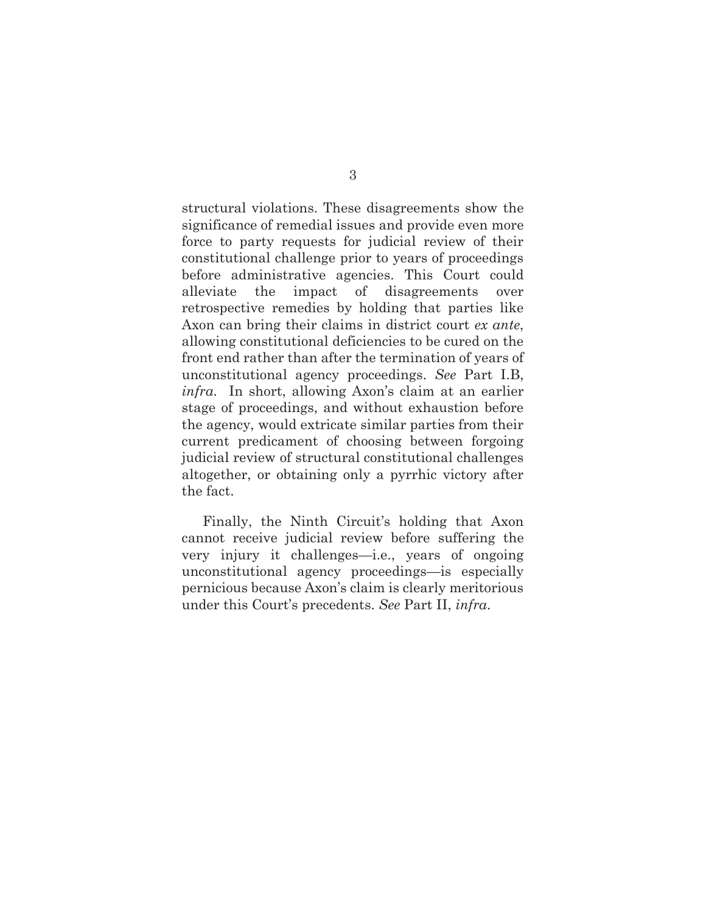structural violations. These disagreements show the significance of remedial issues and provide even more force to party requests for judicial review of their constitutional challenge prior to years of proceedings before administrative agencies. This Court could alleviate the impact of disagreements over retrospective remedies by holding that parties like Axon can bring their claims in district court *ex ante*, allowing constitutional deficiencies to be cured on the front end rather than after the termination of years of unconstitutional agency proceedings. *See* Part I.B, *infra*. In short, allowing Axon's claim at an earlier stage of proceedings, and without exhaustion before the agency, would extricate similar parties from their current predicament of choosing between forgoing judicial review of structural constitutional challenges altogether, or obtaining only a pyrrhic victory after the fact.

Finally, the Ninth Circuit's holding that Axon cannot receive judicial review before suffering the very injury it challenges—i.e., years of ongoing unconstitutional agency proceedings—is especially pernicious because Axon's claim is clearly meritorious under this Court's precedents. *See* Part II, *infra*.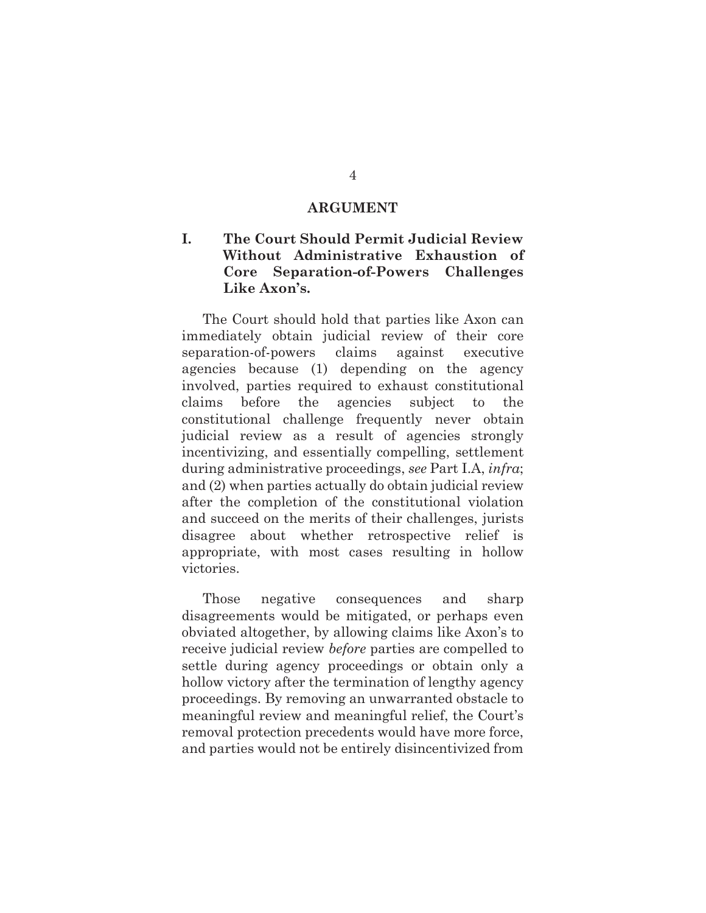#### **ARGUMENT**

### **I. The Court Should Permit Judicial Review Without Administrative Exhaustion of Core Separation-of-Powers Challenges Like Axon's.**

The Court should hold that parties like Axon can immediately obtain judicial review of their core separation-of-powers claims against executive agencies because (1) depending on the agency involved, parties required to exhaust constitutional claims before the agencies subject to the constitutional challenge frequently never obtain judicial review as a result of agencies strongly incentivizing, and essentially compelling, settlement during administrative proceedings, *see* Part I.A, *infra*; and (2) when parties actually do obtain judicial review after the completion of the constitutional violation and succeed on the merits of their challenges, jurists disagree about whether retrospective relief is appropriate, with most cases resulting in hollow victories.

Those negative consequences and sharp disagreements would be mitigated, or perhaps even obviated altogether, by allowing claims like Axon's to receive judicial review *before* parties are compelled to settle during agency proceedings or obtain only a hollow victory after the termination of lengthy agency proceedings. By removing an unwarranted obstacle to meaningful review and meaningful relief, the Court's removal protection precedents would have more force, and parties would not be entirely disincentivized from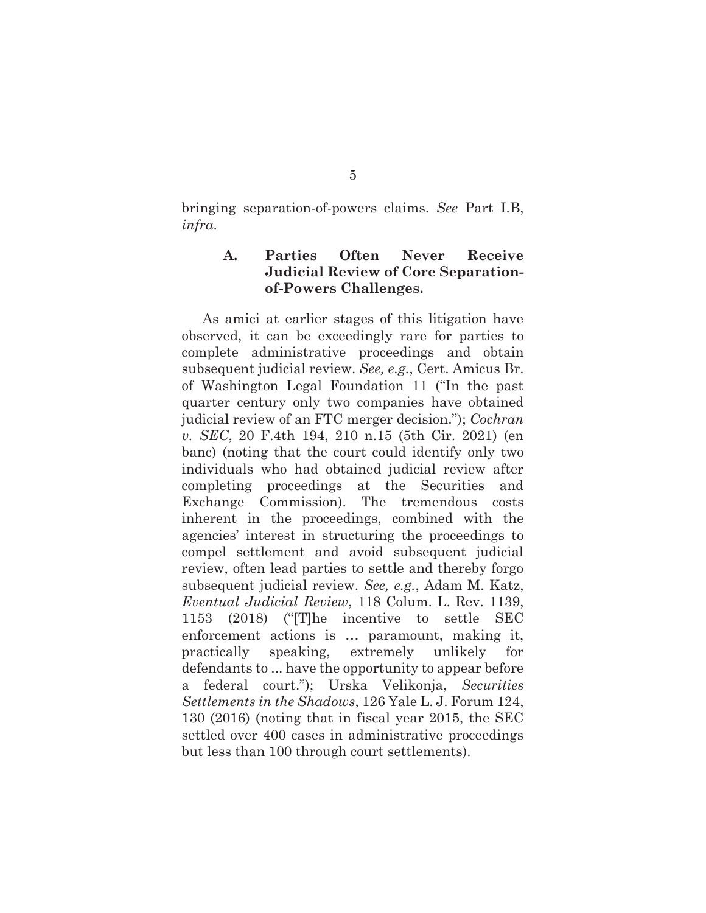bringing separation-of-powers claims. *See* Part I.B, *infra*.

### **A. Parties Often Never Receive Judicial Review of Core Separationof-Powers Challenges.**

As amici at earlier stages of this litigation have observed, it can be exceedingly rare for parties to complete administrative proceedings and obtain subsequent judicial review. *See, e.g.*, Cert. Amicus Br. of Washington Legal Foundation 11 ("In the past quarter century only two companies have obtained judicial review of an FTC merger decision."); *Cochran v. SEC*, 20 F.4th 194, 210 n.15 (5th Cir. 2021) (en banc) (noting that the court could identify only two individuals who had obtained judicial review after completing proceedings at the Securities and Exchange Commission). The tremendous costs inherent in the proceedings, combined with the agencies' interest in structuring the proceedings to compel settlement and avoid subsequent judicial review, often lead parties to settle and thereby forgo subsequent judicial review. *See, e.g.*, Adam M. Katz, *Eventual Judicial Review*, 118 Colum. L. Rev. 1139, 1153 (2018) ("[T]he incentive to settle SEC enforcement actions is … paramount, making it, practically speaking, extremely unlikely for defendants to ... have the opportunity to appear before a federal court."); Urska Velikonja, *Securities Settlements in the Shadows*, 126 Yale L. J. Forum 124, 130 (2016) (noting that in fiscal year 2015, the SEC settled over 400 cases in administrative proceedings but less than 100 through court settlements).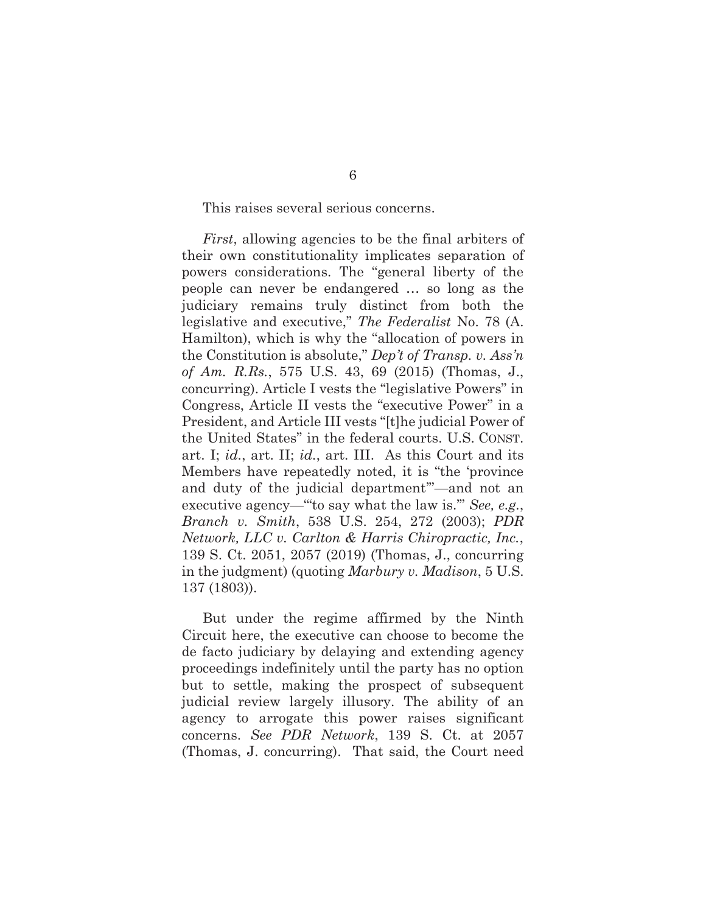This raises several serious concerns.

*First*, allowing agencies to be the final arbiters of their own constitutionality implicates separation of powers considerations. The "general liberty of the people can never be endangered … so long as the judiciary remains truly distinct from both the legislative and executive," *The Federalist* No. 78 (A. Hamilton), which is why the "allocation of powers in the Constitution is absolute," *Dep't of Transp. v. Ass'n of Am. R.Rs.*, 575 U.S. 43, 69 (2015) (Thomas, J., concurring). Article I vests the "legislative Powers" in Congress, Article II vests the "executive Power" in a President, and Article III vests "[t]he judicial Power of the United States" in the federal courts. U.S. CONST. art. I; *id.*, art. II; *id.*, art. III. As this Court and its Members have repeatedly noted, it is "the 'province and duty of the judicial department'"—and not an executive agency—"'to say what the law is.'" *See, e.g.*, *Branch v. Smith*, 538 U.S. 254, 272 (2003); *PDR Network, LLC v. Carlton & Harris Chiropractic, Inc.*, 139 S. Ct. 2051, 2057 (2019) (Thomas, J., concurring in the judgment) (quoting *Marbury v. Madison*, 5 U.S. 137 (1803)).

But under the regime affirmed by the Ninth Circuit here, the executive can choose to become the de facto judiciary by delaying and extending agency proceedings indefinitely until the party has no option but to settle, making the prospect of subsequent judicial review largely illusory. The ability of an agency to arrogate this power raises significant concerns. *See PDR Network*, 139 S. Ct. at 2057 (Thomas, J. concurring). That said, the Court need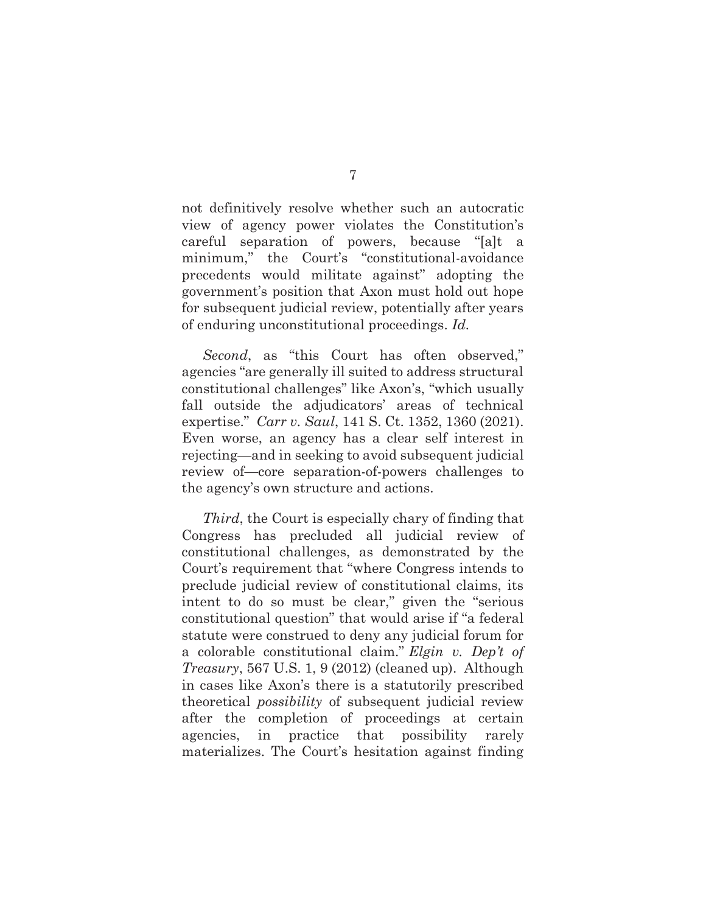not definitively resolve whether such an autocratic view of agency power violates the Constitution's careful separation of powers, because "[a]t a minimum," the Court's "constitutional-avoidance precedents would militate against" adopting the government's position that Axon must hold out hope for subsequent judicial review, potentially after years of enduring unconstitutional proceedings. *Id.*

*Second*, as "this Court has often observed," agencies "are generally ill suited to address structural constitutional challenges" like Axon's, "which usually fall outside the adjudicators' areas of technical expertise." *Carr v. Saul*, 141 S. Ct. 1352, 1360 (2021). Even worse, an agency has a clear self interest in rejecting—and in seeking to avoid subsequent judicial review of—core separation-of-powers challenges to the agency's own structure and actions.

*Third*, the Court is especially chary of finding that Congress has precluded all judicial review of constitutional challenges, as demonstrated by the Court's requirement that "where Congress intends to preclude judicial review of constitutional claims, its intent to do so must be clear," given the "serious constitutional question" that would arise if "a federal statute were construed to deny any judicial forum for a colorable constitutional claim." *Elgin v. Dep't of Treasury*, 567 U.S. 1, 9 (2012) (cleaned up). Although in cases like Axon's there is a statutorily prescribed theoretical *possibility* of subsequent judicial review after the completion of proceedings at certain agencies, in practice that possibility rarely materializes. The Court's hesitation against finding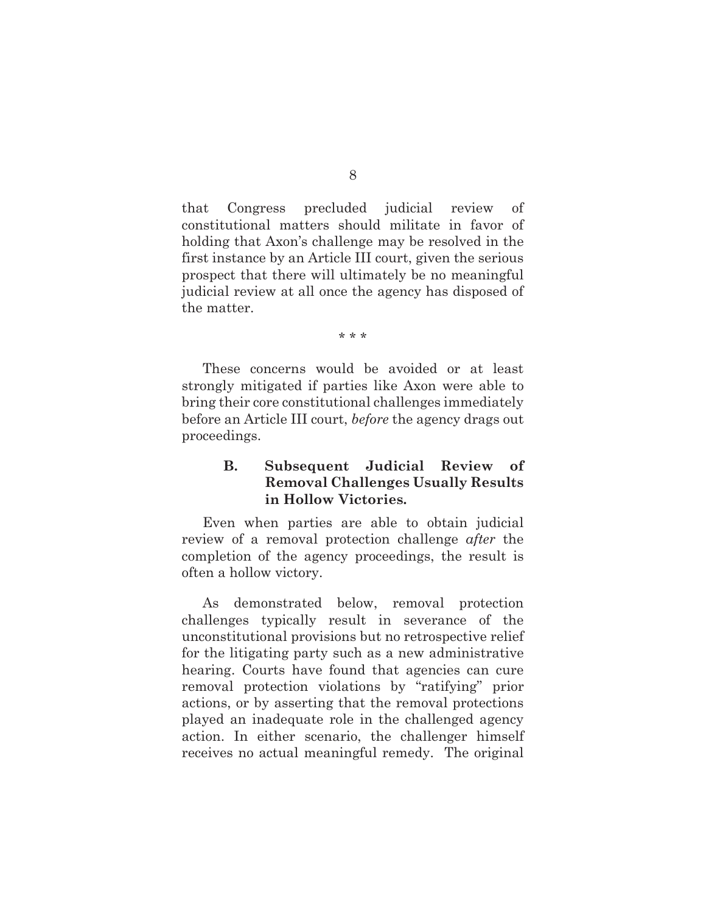that Congress precluded judicial review of constitutional matters should militate in favor of holding that Axon's challenge may be resolved in the first instance by an Article III court, given the serious prospect that there will ultimately be no meaningful judicial review at all once the agency has disposed of the matter.

\* \* \*

These concerns would be avoided or at least strongly mitigated if parties like Axon were able to bring their core constitutional challenges immediately before an Article III court, *before* the agency drags out proceedings.

### **B. Subsequent Judicial Review of Removal Challenges Usually Results in Hollow Victories.**

Even when parties are able to obtain judicial review of a removal protection challenge *after* the completion of the agency proceedings, the result is often a hollow victory.

As demonstrated below, removal protection challenges typically result in severance of the unconstitutional provisions but no retrospective relief for the litigating party such as a new administrative hearing. Courts have found that agencies can cure removal protection violations by "ratifying" prior actions, or by asserting that the removal protections played an inadequate role in the challenged agency action. In either scenario, the challenger himself receives no actual meaningful remedy. The original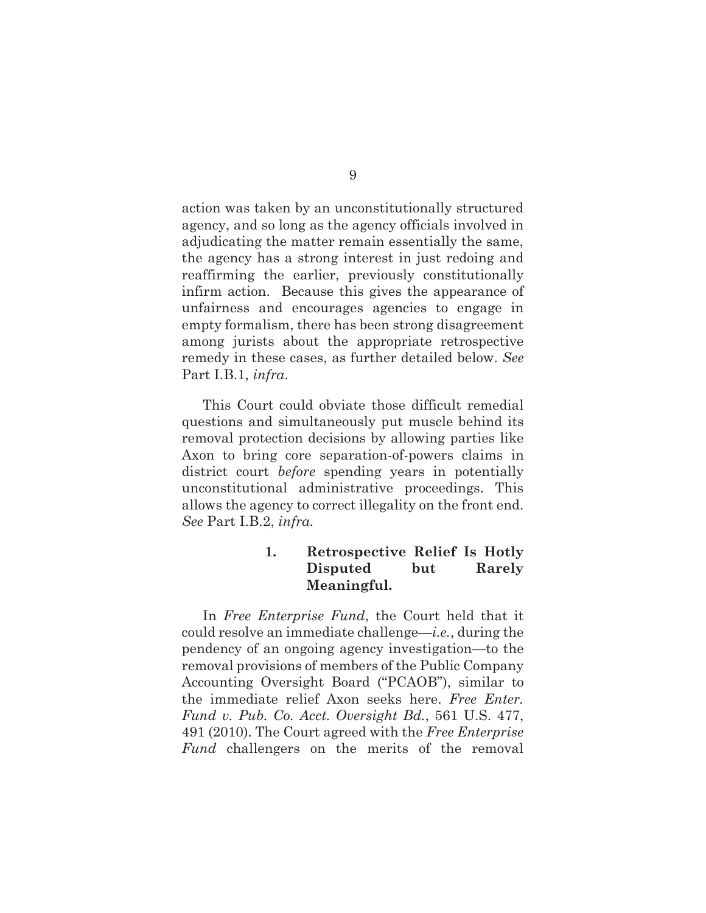action was taken by an unconstitutionally structured agency, and so long as the agency officials involved in adjudicating the matter remain essentially the same, the agency has a strong interest in just redoing and reaffirming the earlier, previously constitutionally infirm action. Because this gives the appearance of unfairness and encourages agencies to engage in empty formalism, there has been strong disagreement among jurists about the appropriate retrospective remedy in these cases, as further detailed below. *See* Part I.B.1, *infra*.

This Court could obviate those difficult remedial questions and simultaneously put muscle behind its removal protection decisions by allowing parties like Axon to bring core separation-of-powers claims in district court *before* spending years in potentially unconstitutional administrative proceedings. This allows the agency to correct illegality on the front end. *See* Part I.B.2, *infra*.

### **1. Retrospective Relief Is Hotly Disputed but Rarely Meaningful.**

In *Free Enterprise Fund*, the Court held that it could resolve an immediate challenge—*i.e.*, during the pendency of an ongoing agency investigation—to the removal provisions of members of the Public Company Accounting Oversight Board ("PCAOB"), similar to the immediate relief Axon seeks here. *Free Enter. Fund v. Pub. Co. Acct. Oversight Bd.*, 561 U.S. 477, 491 (2010). The Court agreed with the *Free Enterprise Fund* challengers on the merits of the removal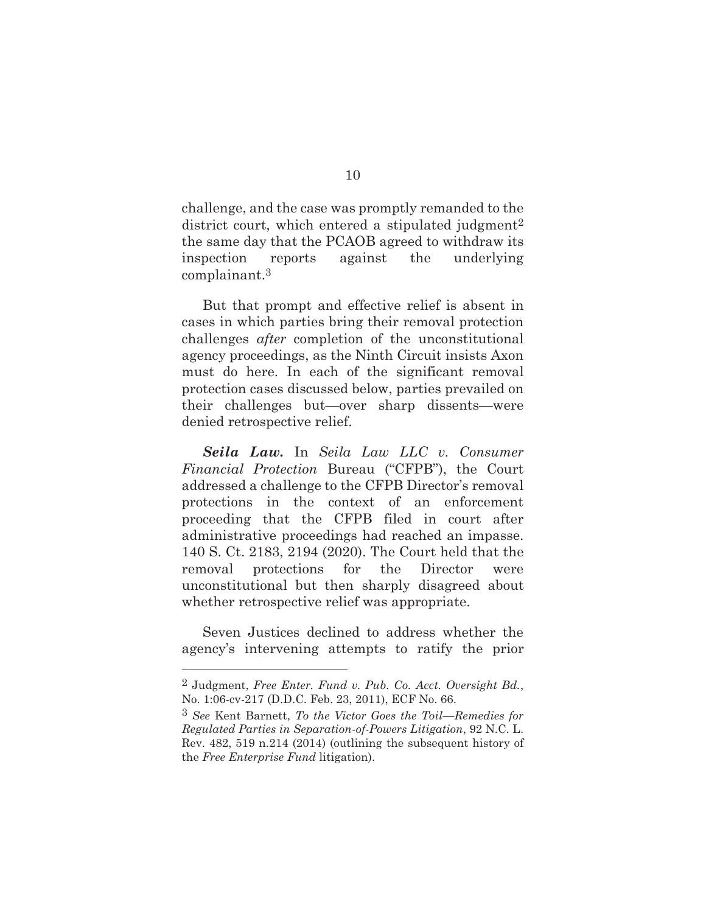challenge, and the case was promptly remanded to the district court, which entered a stipulated judgment<sup>2</sup> the same day that the PCAOB agreed to withdraw its inspection reports against the underlying complainant.3

But that prompt and effective relief is absent in cases in which parties bring their removal protection challenges *after* completion of the unconstitutional agency proceedings, as the Ninth Circuit insists Axon must do here. In each of the significant removal protection cases discussed below, parties prevailed on their challenges but—over sharp dissents—were denied retrospective relief.

*Seila Law.* In *Seila Law LLC v. Consumer Financial Protection* Bureau ("CFPB"), the Court addressed a challenge to the CFPB Director's removal protections in the context of an enforcement proceeding that the CFPB filed in court after administrative proceedings had reached an impasse. 140 S. Ct. 2183, 2194 (2020). The Court held that the removal protections for the Director were unconstitutional but then sharply disagreed about whether retrospective relief was appropriate.

Seven Justices declined to address whether the agency's intervening attempts to ratify the prior

<sup>2</sup> Judgment, *Free Enter. Fund v. Pub. Co. Acct. Oversight Bd.*, No. 1:06-cv-217 (D.D.C. Feb. 23, 2011), ECF No. 66.

<sup>3</sup> *See* Kent Barnett, *To the Victor Goes the Toil—Remedies for Regulated Parties in Separation-of-Powers Litigation*, 92 N.C. L. Rev. 482, 519 n.214 (2014) (outlining the subsequent history of the *Free Enterprise Fund* litigation).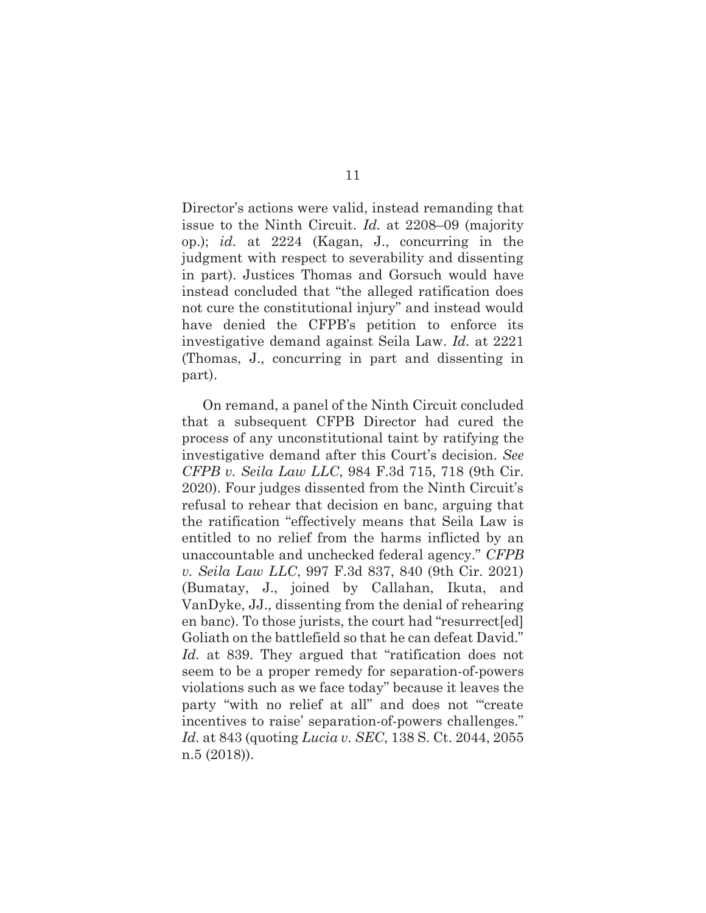Director's actions were valid, instead remanding that issue to the Ninth Circuit. *Id.* at 2208–09 (majority op.); *id.* at 2224 (Kagan, J., concurring in the judgment with respect to severability and dissenting in part). Justices Thomas and Gorsuch would have instead concluded that "the alleged ratification does not cure the constitutional injury" and instead would have denied the CFPB's petition to enforce its investigative demand against Seila Law. *Id.* at 2221 (Thomas, J., concurring in part and dissenting in part).

On remand, a panel of the Ninth Circuit concluded that a subsequent CFPB Director had cured the process of any unconstitutional taint by ratifying the investigative demand after this Court's decision. *See CFPB v. Seila Law LLC*, 984 F.3d 715, 718 (9th Cir. 2020). Four judges dissented from the Ninth Circuit's refusal to rehear that decision en banc, arguing that the ratification "effectively means that Seila Law is entitled to no relief from the harms inflicted by an unaccountable and unchecked federal agency." *CFPB v. Seila Law LLC*, 997 F.3d 837, 840 (9th Cir. 2021) (Bumatay, J., joined by Callahan, Ikuta, and VanDyke, JJ., dissenting from the denial of rehearing en banc). To those jurists, the court had "resurrect[ed] Goliath on the battlefield so that he can defeat David." *Id.* at 839. They argued that "ratification does not seem to be a proper remedy for separation-of-powers violations such as we face today" because it leaves the party "with no relief at all" and does not "create incentives to raise' separation-of-powers challenges." *Id.* at 843 (quoting *Lucia v. SEC*, 138 S. Ct. 2044, 2055 n.5 (2018)).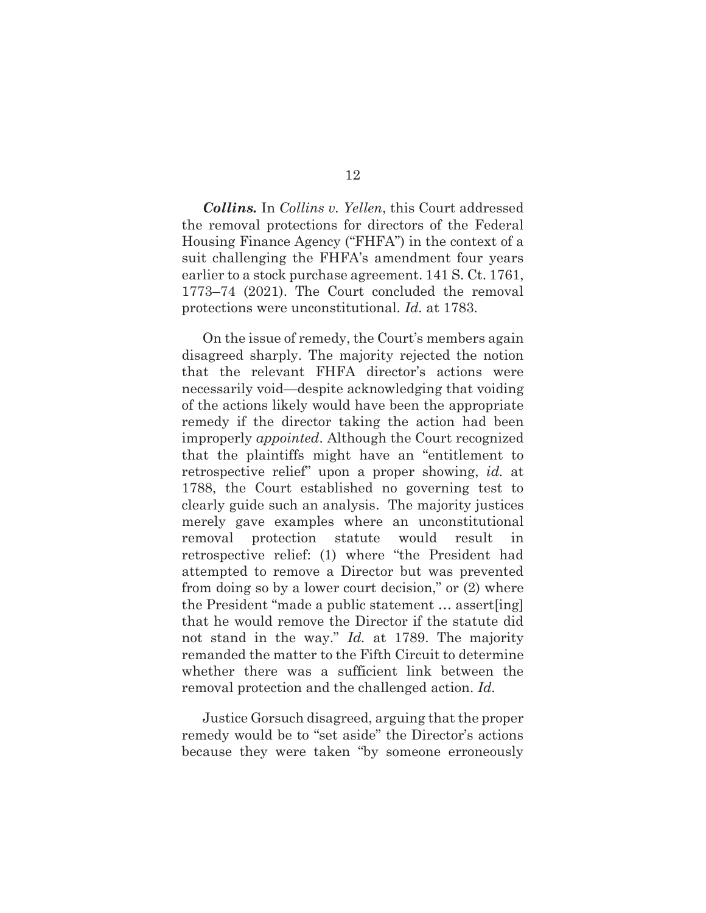*Collins.* In *Collins v. Yellen*, this Court addressed the removal protections for directors of the Federal Housing Finance Agency ("FHFA") in the context of a suit challenging the FHFA's amendment four years earlier to a stock purchase agreement. 141 S. Ct. 1761, 1773–74 (2021). The Court concluded the removal protections were unconstitutional. *Id.* at 1783.

On the issue of remedy, the Court's members again disagreed sharply. The majority rejected the notion that the relevant FHFA director's actions were necessarily void—despite acknowledging that voiding of the actions likely would have been the appropriate remedy if the director taking the action had been improperly *appointed*. Although the Court recognized that the plaintiffs might have an "entitlement to retrospective relief" upon a proper showing, *id.* at 1788, the Court established no governing test to clearly guide such an analysis. The majority justices merely gave examples where an unconstitutional removal protection statute would result in retrospective relief: (1) where "the President had attempted to remove a Director but was prevented from doing so by a lower court decision," or (2) where the President "made a public statement … assert[ing] that he would remove the Director if the statute did not stand in the way." *Id.* at 1789. The majority remanded the matter to the Fifth Circuit to determine whether there was a sufficient link between the removal protection and the challenged action. *Id.*

Justice Gorsuch disagreed, arguing that the proper remedy would be to "set aside" the Director's actions because they were taken "by someone erroneously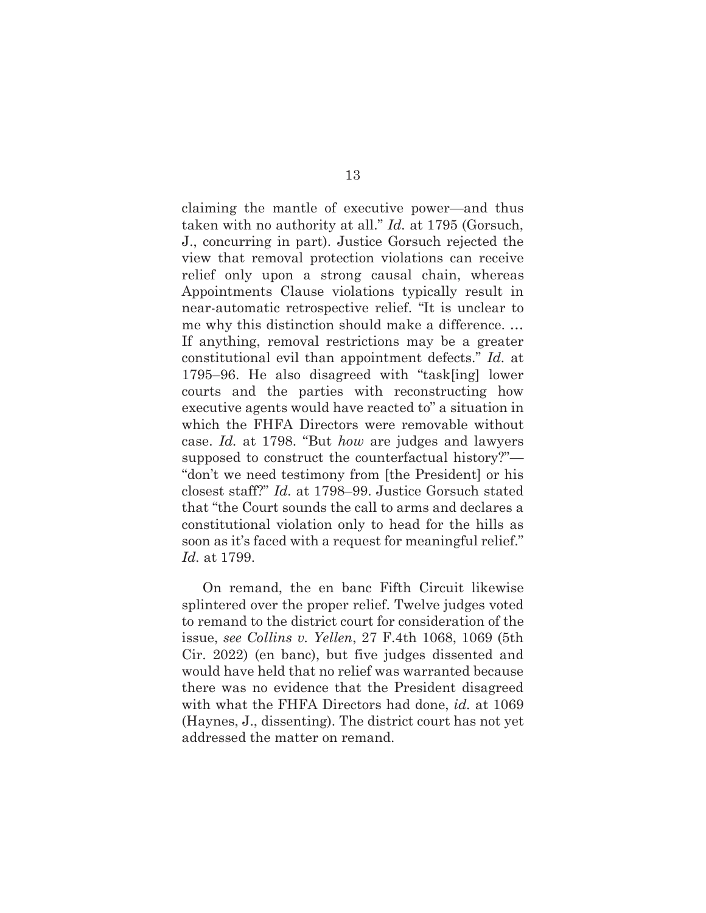claiming the mantle of executive power—and thus taken with no authority at all." *Id.* at 1795 (Gorsuch, J., concurring in part). Justice Gorsuch rejected the view that removal protection violations can receive relief only upon a strong causal chain, whereas Appointments Clause violations typically result in near-automatic retrospective relief. "It is unclear to me why this distinction should make a difference. … If anything, removal restrictions may be a greater constitutional evil than appointment defects." *Id.* at 1795–96. He also disagreed with "task[ing] lower courts and the parties with reconstructing how executive agents would have reacted to" a situation in which the FHFA Directors were removable without case. *Id.* at 1798. "But *how* are judges and lawyers supposed to construct the counterfactual history?"— "don't we need testimony from [the President] or his closest staff?" *Id.* at 1798–99. Justice Gorsuch stated that "the Court sounds the call to arms and declares a constitutional violation only to head for the hills as soon as it's faced with a request for meaningful relief." *Id.* at 1799.

On remand, the en banc Fifth Circuit likewise splintered over the proper relief. Twelve judges voted to remand to the district court for consideration of the issue, *see Collins v. Yellen*, 27 F.4th 1068, 1069 (5th Cir. 2022) (en banc), but five judges dissented and would have held that no relief was warranted because there was no evidence that the President disagreed with what the FHFA Directors had done, *id.* at 1069 (Haynes, J., dissenting). The district court has not yet addressed the matter on remand.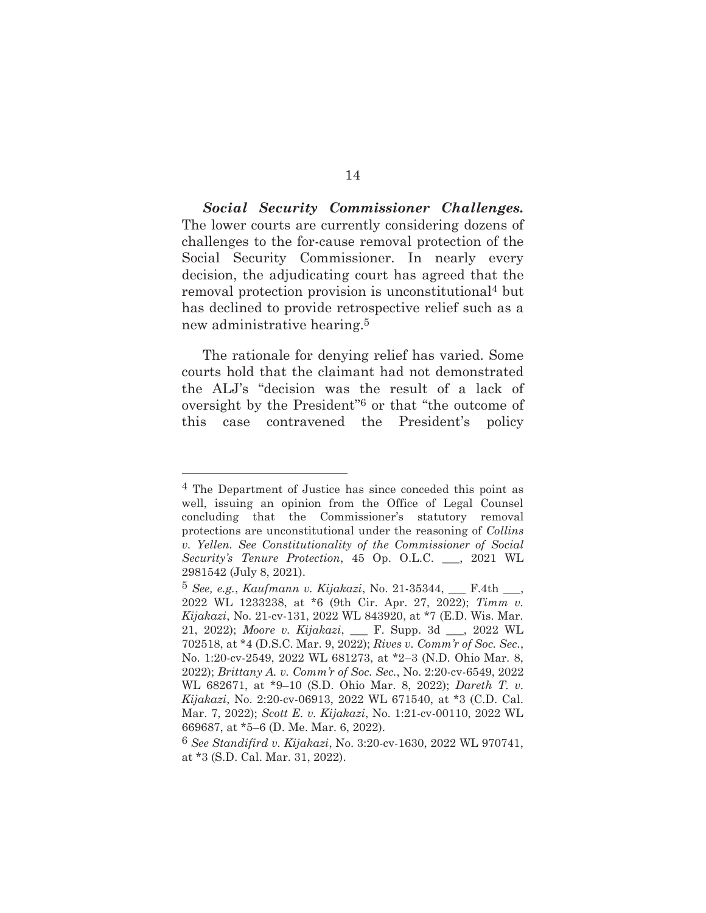*Social Security Commissioner Challenges.*  The lower courts are currently considering dozens of challenges to the for-cause removal protection of the Social Security Commissioner. In nearly every decision, the adjudicating court has agreed that the removal protection provision is unconstitutional4 but has declined to provide retrospective relief such as a new administrative hearing.5

The rationale for denying relief has varied. Some courts hold that the claimant had not demonstrated the ALJ's "decision was the result of a lack of oversight by the President"6 or that "the outcome of this case contravened the President's policy

<sup>4</sup> The Department of Justice has since conceded this point as well, issuing an opinion from the Office of Legal Counsel concluding that the Commissioner's statutory removal protections are unconstitutional under the reasoning of *Collins v. Yellen. See Constitutionality of the Commissioner of Social Security's Tenure Protection*, 45 Op. O.L.C. \_\_\_, 2021 WL 2981542 (July 8, 2021).

<sup>5</sup> *See, e.g.*, *Kaufmann v. Kijakazi*, No. 21-35344, \_\_\_ F.4th \_\_\_, 2022 WL 1233238, at \*6 (9th Cir. Apr. 27, 2022); *Timm v. Kijakazi*, No. 21-cv-131, 2022 WL 843920, at \*7 (E.D. Wis. Mar. 21, 2022); *Moore v. Kijakazi*, \_\_\_ F. Supp. 3d \_\_\_, 2022 WL 702518, at \*4 (D.S.C. Mar. 9, 2022); *Rives v. Comm'r of Soc. Sec.*, No. 1:20-cv-2549, 2022 WL 681273, at \*2–3 (N.D. Ohio Mar. 8, 2022); *Brittany A. v. Comm'r of Soc. Sec.*, No. 2:20-cv-6549, 2022 WL 682671, at \*9–10 (S.D. Ohio Mar. 8, 2022); *Dareth T. v. Kijakazi*, No. 2:20-cv-06913, 2022 WL 671540, at \*3 (C.D. Cal. Mar. 7, 2022); *Scott E. v. Kijakazi*, No. 1:21-cv-00110, 2022 WL 669687, at \*5–6 (D. Me. Mar. 6, 2022).

<sup>6</sup> *See Standifird v. Kijakazi*, No. 3:20-cv-1630, 2022 WL 970741, at \*3 (S.D. Cal. Mar. 31, 2022).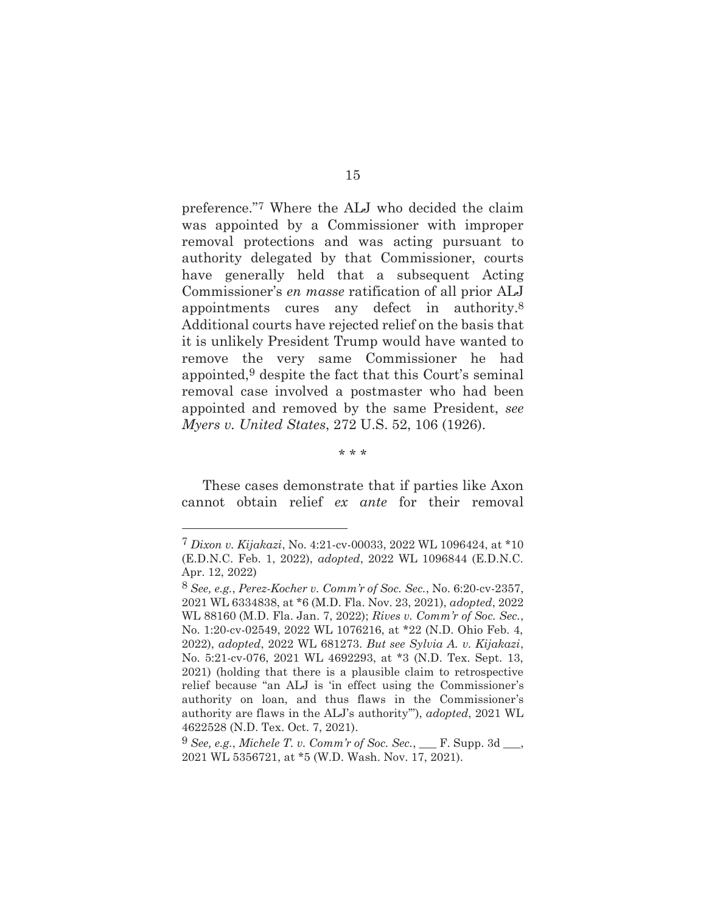preference."7 Where the ALJ who decided the claim was appointed by a Commissioner with improper removal protections and was acting pursuant to authority delegated by that Commissioner, courts have generally held that a subsequent Acting Commissioner's *en masse* ratification of all prior ALJ appointments cures any defect in authority.8 Additional courts have rejected relief on the basis that it is unlikely President Trump would have wanted to remove the very same Commissioner he had appointed,9 despite the fact that this Court's seminal removal case involved a postmaster who had been appointed and removed by the same President, *see Myers v. United States*, 272 U.S. 52, 106 (1926).

\* \* \*

These cases demonstrate that if parties like Axon cannot obtain relief *ex ante* for their removal

<sup>7</sup> *Dixon v. Kijakazi*, No. 4:21-cv-00033, 2022 WL 1096424, at \*10 (E.D.N.C. Feb. 1, 2022), *adopted*, 2022 WL 1096844 (E.D.N.C. Apr. 12, 2022)

<sup>8</sup> *See, e.g.*, *Perez-Kocher v. Comm'r of Soc. Sec.*, No. 6:20-cv-2357, 2021 WL 6334838, at \*6 (M.D. Fla. Nov. 23, 2021), *adopted*, 2022 WL 88160 (M.D. Fla. Jan. 7, 2022); *Rives v. Comm'r of Soc. Sec.*, No. 1:20-cv-02549, 2022 WL 1076216, at \*22 (N.D. Ohio Feb. 4, 2022), *adopted*, 2022 WL 681273. *But see Sylvia A. v. Kijakazi*, No. 5:21-cv-076, 2021 WL 4692293, at \*3 (N.D. Tex. Sept. 13, 2021) (holding that there is a plausible claim to retrospective relief because "an ALJ is 'in effect using the Commissioner's authority on loan, and thus flaws in the Commissioner's authority are flaws in the ALJ's authority'"), *adopted*, 2021 WL 4622528 (N.D. Tex. Oct. 7, 2021).

 $9$  See, e.g., *Michele T. v. Comm'r of Soc. Sec.*, F. Supp. 3d. 2021 WL 5356721, at \*5 (W.D. Wash. Nov. 17, 2021).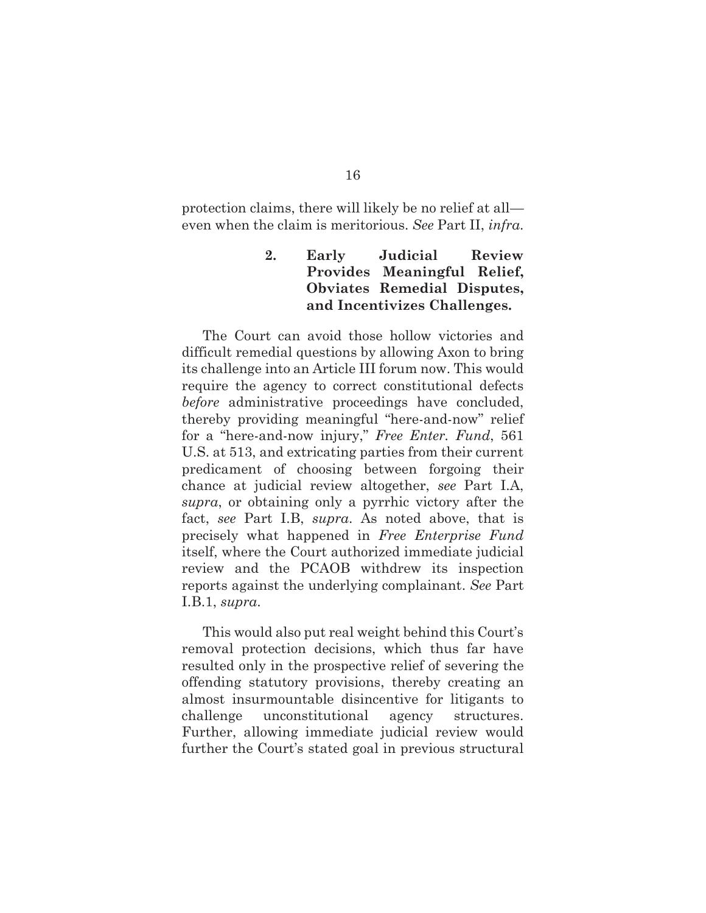protection claims, there will likely be no relief at all even when the claim is meritorious. *See* Part II, *infra*.

## **2. Early Judicial Review Provides Meaningful Relief, Obviates Remedial Disputes, and Incentivizes Challenges.**

The Court can avoid those hollow victories and difficult remedial questions by allowing Axon to bring its challenge into an Article III forum now. This would require the agency to correct constitutional defects *before* administrative proceedings have concluded, thereby providing meaningful "here-and-now" relief for a "here-and-now injury," *Free Enter. Fund*, 561 U.S. at 513, and extricating parties from their current predicament of choosing between forgoing their chance at judicial review altogether, *see* Part I.A, *supra*, or obtaining only a pyrrhic victory after the fact, *see* Part I.B, *supra*. As noted above, that is precisely what happened in *Free Enterprise Fund* itself, where the Court authorized immediate judicial review and the PCAOB withdrew its inspection reports against the underlying complainant. *See* Part I.B.1, *supra*.

This would also put real weight behind this Court's removal protection decisions, which thus far have resulted only in the prospective relief of severing the offending statutory provisions, thereby creating an almost insurmountable disincentive for litigants to challenge unconstitutional agency structures. Further, allowing immediate judicial review would further the Court's stated goal in previous structural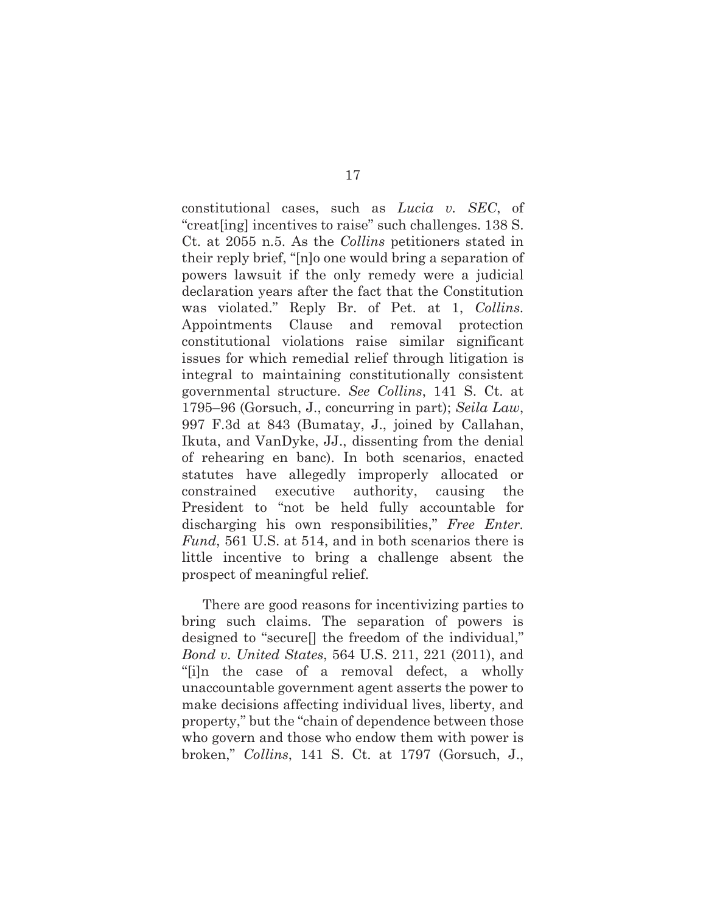constitutional cases, such as *Lucia v. SEC*, of "creat[ing] incentives to raise" such challenges. 138 S. Ct. at 2055 n.5. As the *Collins* petitioners stated in their reply brief, "[n]o one would bring a separation of powers lawsuit if the only remedy were a judicial declaration years after the fact that the Constitution was violated." Reply Br. of Pet. at 1, *Collins*. Appointments Clause and removal protection constitutional violations raise similar significant issues for which remedial relief through litigation is integral to maintaining constitutionally consistent governmental structure. *See Collins*, 141 S. Ct. at 1795–96 (Gorsuch, J., concurring in part); *Seila Law*, 997 F.3d at 843 (Bumatay, J., joined by Callahan, Ikuta, and VanDyke, JJ., dissenting from the denial of rehearing en banc). In both scenarios, enacted statutes have allegedly improperly allocated or constrained executive authority, causing the President to "not be held fully accountable for discharging his own responsibilities," *Free Enter. Fund*, 561 U.S. at 514, and in both scenarios there is little incentive to bring a challenge absent the prospect of meaningful relief.

There are good reasons for incentivizing parties to bring such claims. The separation of powers is designed to "secure[] the freedom of the individual," *Bond v. United States*, 564 U.S. 211, 221 (2011), and "[i]n the case of a removal defect, a wholly unaccountable government agent asserts the power to make decisions affecting individual lives, liberty, and property," but the "chain of dependence between those who govern and those who endow them with power is broken," *Collins*, 141 S. Ct. at 1797 (Gorsuch, J.,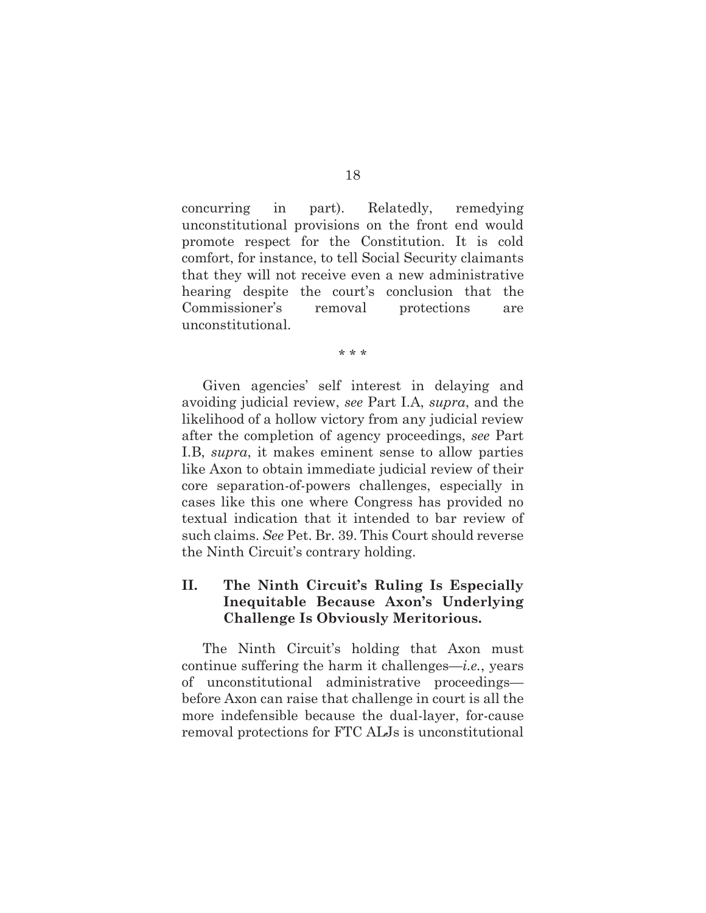concurring in part). Relatedly, remedying unconstitutional provisions on the front end would promote respect for the Constitution. It is cold comfort, for instance, to tell Social Security claimants that they will not receive even a new administrative hearing despite the court's conclusion that the Commissioner's removal protections are unconstitutional.

\* \* \*

Given agencies' self interest in delaying and avoiding judicial review, *see* Part I.A, *supra*, and the likelihood of a hollow victory from any judicial review after the completion of agency proceedings, *see* Part I.B, *supra*, it makes eminent sense to allow parties like Axon to obtain immediate judicial review of their core separation-of-powers challenges, especially in cases like this one where Congress has provided no textual indication that it intended to bar review of such claims. *See* Pet. Br. 39. This Court should reverse the Ninth Circuit's contrary holding.

### **II. The Ninth Circuit's Ruling Is Especially Inequitable Because Axon's Underlying Challenge Is Obviously Meritorious.**

The Ninth Circuit's holding that Axon must continue suffering the harm it challenges—*i.e.*, years of unconstitutional administrative proceedings before Axon can raise that challenge in court is all the more indefensible because the dual-layer, for-cause removal protections for FTC ALJs is unconstitutional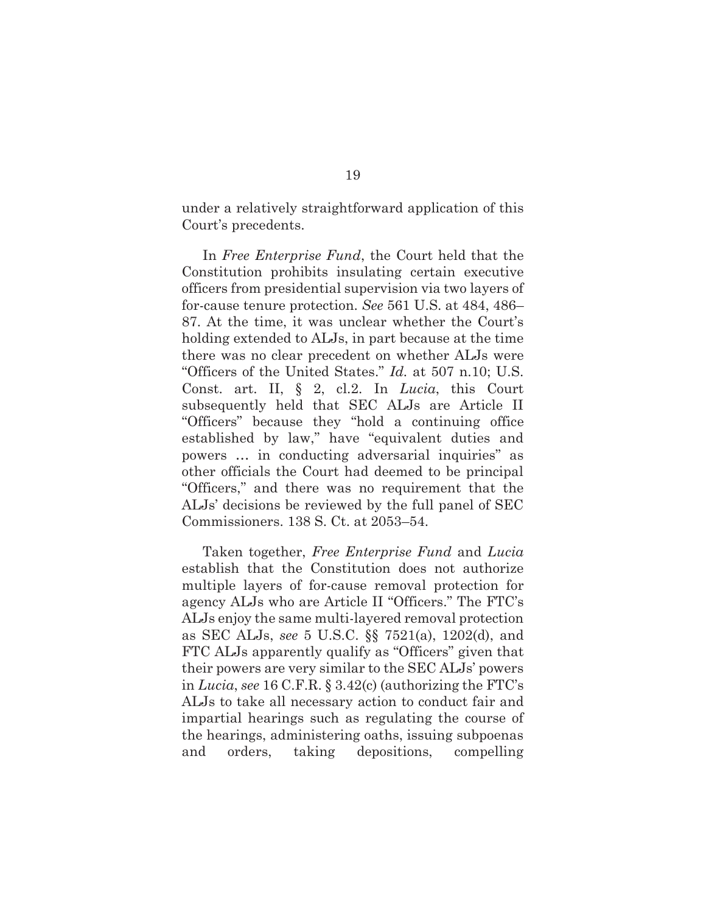under a relatively straightforward application of this Court's precedents.

In *Free Enterprise Fund*, the Court held that the Constitution prohibits insulating certain executive officers from presidential supervision via two layers of for-cause tenure protection. *See* 561 U.S. at 484, 486– 87. At the time, it was unclear whether the Court's holding extended to ALJs, in part because at the time there was no clear precedent on whether ALJs were "Officers of the United States." *Id.* at 507 n.10; U.S. Const. art. II, § 2, cl.2. In *Lucia*, this Court subsequently held that SEC ALJs are Article II "Officers" because they "hold a continuing office established by law," have "equivalent duties and powers … in conducting adversarial inquiries" as other officials the Court had deemed to be principal "Officers," and there was no requirement that the ALJs' decisions be reviewed by the full panel of SEC Commissioners. 138 S. Ct. at 2053–54.

Taken together, *Free Enterprise Fund* and *Lucia*  establish that the Constitution does not authorize multiple layers of for-cause removal protection for agency ALJs who are Article II "Officers." The FTC's ALJs enjoy the same multi-layered removal protection as SEC ALJs, *see* 5 U.S.C. §§ 7521(a), 1202(d), and FTC ALJs apparently qualify as "Officers" given that their powers are very similar to the SEC ALJs' powers in *Lucia*, *see* 16 C.F.R. § 3.42(c) (authorizing the FTC's ALJs to take all necessary action to conduct fair and impartial hearings such as regulating the course of the hearings, administering oaths, issuing subpoenas and orders, taking depositions, compelling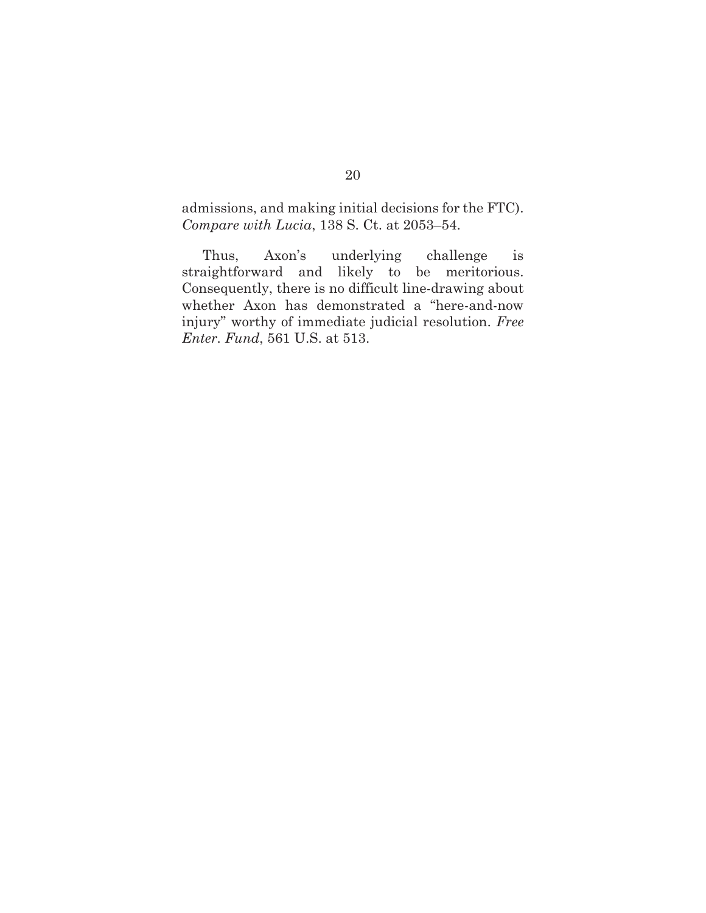admissions, and making initial decisions for the FTC). *Compare with Lucia*, 138 S. Ct. at 2053–54.

Thus, Axon's underlying challenge is straightforward and likely to be meritorious. Consequently, there is no difficult line-drawing about whether Axon has demonstrated a "here-and-now injury" worthy of immediate judicial resolution. *Free Enter. Fund*, 561 U.S. at 513.